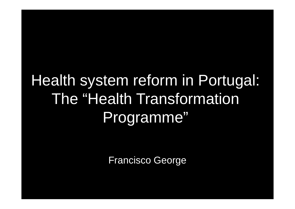# Health system reform in Portugal: The "Health Transformation Programme"

Francisco George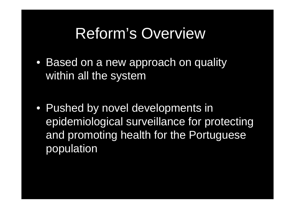## Reform's Overview

• Based on a new approach on quality within all the system

• Pushed by novel developments in epidemiological surveillance for protecting and promoting health for the Portuguese population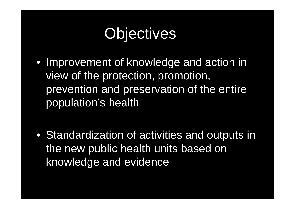# **Objectives**

• Improvement of knowledge and action in view of the protection, promotion, prevention and preservation of the entire population's health

• Standardization of activities and outputs in the new public health units based on knowledge and evidence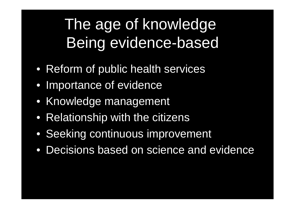# The age of knowledge Being evidence-based

- Reform of public health services
- Importance of evidence
- Knowledge management
- Relationship with the citizens
- Seeking continuous improvement
- Decisions based on science and evidence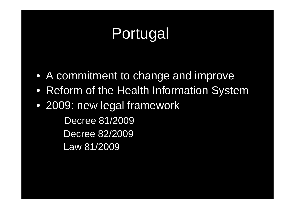# Portugal

- A commitment to change and improve
- Reform of the Health Information System
- 2009: new legal framework

Decree 81/2009Decree 82/2009 Law 81/2009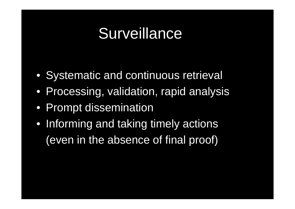## **Surveillance**

- Systematic and continuous retrieval
- Processing, validation, rapid analysis
- Prompt dissemination
- Informing and taking timely actions (even in the absence of final proof)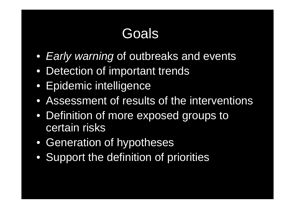## Goals

- *Early warning* of outbreaks and events
- Detection of important trends
- Epidemic intelligence
- Assessment of results of the interventions
- Definition of more exposed groups to certain risks
- Generation of hypotheses
- Support the definition of priorities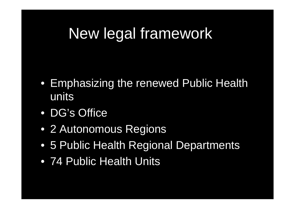# New legal framework

- Emphasizing the renewed Public Health units
- DG's Office
- 2 Autonomous Regions
- 5 Public Health Regional Departments
- 74 Public Health Units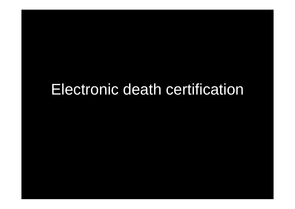### Electronic death certification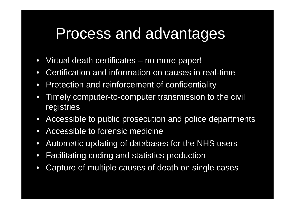## Process and advantages

- $\bullet$ Virtual death certificates – no more paper!
- $\bullet$ Certification and information on causes in real-time
- $\bullet$ Protection and reinforcement of confidentiality
- $\bullet$  Timely computer-to-computer transmission to the civil registries
- Accessible to public prosecution and police departments
- $\bullet$ Accessible to forensic medicine
- $\bullet$ Automatic updating of databases for the NHS users
- $\bullet$ Facilitating coding and statistics production
- $\bullet$ Capture of multiple causes of death on single cases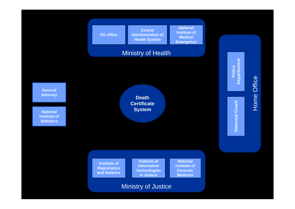

#### Ministry of Justice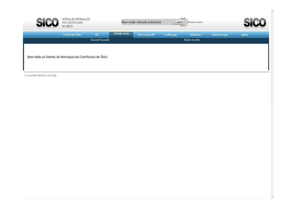|                                                              | SISTEMA DE INFORMAÇÃO<br>DOS CERTIFICADOS<br>DE ÓBITO |                    |               | Bem-vindo visitante (visitante) | <b>Punt</b><br>Logout<br>755 567 | Ministério da Saúde |               |       |
|--------------------------------------------------------------|-------------------------------------------------------|--------------------|---------------|---------------------------------|----------------------------------|---------------------|---------------|-------|
|                                                              | Certificado Óbito                                     | <b>BIC</b>         | Emissão Guias | Intervenção MP                  | Codificação                      | Relatórios          | Administração | Ajuda |
|                                                              |                                                       | Guia de Transporte |               |                                 |                                  | Boletim de óbito    |               |       |
| Bem-vindo ao Sistema de Informação dos Certificados de Óbito |                                                       |                    |               |                                 |                                  |                     |               |       |

(c) Copyright Ministério da Saúde

À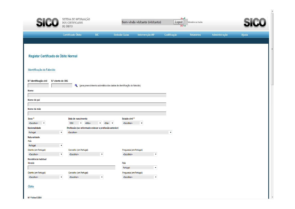| SI.                                                                                          | SISTEMA DE INFORMAÇÃO<br>DOS CERTIFICADOS<br>DE ÓBITO |                                                                 |                      | Bem-vindo visitante (visitante)                                        |                                                    | $1 - 1$<br>Logout<br>Ministério da Saúde<br>野さがす |                    |  |                   |               |       |
|----------------------------------------------------------------------------------------------|-------------------------------------------------------|-----------------------------------------------------------------|----------------------|------------------------------------------------------------------------|----------------------------------------------------|--------------------------------------------------|--------------------|--|-------------------|---------------|-------|
|                                                                                              |                                                       | Certificado Óbito                                               | <b>BIC</b>           |                                                                        | <b>Emissão Guias</b>                               | Intervenção MP                                   | Codificação        |  | <b>Relatórios</b> | Administração | Ajuda |
|                                                                                              |                                                       |                                                                 |                      |                                                                        |                                                    |                                                  |                    |  |                   |               |       |
| Registar Certificado de Óbito Normal                                                         |                                                       |                                                                 |                      |                                                                        |                                                    |                                                  |                    |  |                   |               |       |
| Identificação do Falecido                                                                    |                                                       |                                                                 |                      |                                                                        |                                                    |                                                  |                    |  |                   |               |       |
| N.º identificação civil                                                                      | N.º utente do SNS                                     | ۹                                                               |                      | (para preenchimento automático dos dados de identificação do falecido) |                                                    |                                                  |                    |  |                   |               |       |
| Nome                                                                                         |                                                       |                                                                 |                      |                                                                        |                                                    |                                                  |                    |  |                   |               |       |
|                                                                                              |                                                       |                                                                 |                      |                                                                        |                                                    |                                                  |                    |  |                   |               |       |
| Nome do pai                                                                                  |                                                       |                                                                 |                      |                                                                        |                                                    |                                                  |                    |  |                   |               |       |
| Nome da mãe                                                                                  |                                                       |                                                                 |                      |                                                                        |                                                    |                                                  |                    |  |                   |               |       |
|                                                                                              |                                                       |                                                                 |                      |                                                                        |                                                    |                                                  |                    |  |                   |               |       |
| $Sexo*$                                                                                      |                                                       | Data de nascimento<br>1950<br>$\blacktriangleright$ <mês></mês> |                      | $\blacktriangledown$ <dia> <math>\blacktriangledown</math></dia>       | Estado civil <sup>*</sup><br><escolher></escolher> | $\pmb{\mathrm{v}}$                               |                    |  |                   |               |       |
| <escolher><br/><math display="inline">\blacktriangledown</math><br/>Nacionalidade</escolher> |                                                       | Profissão (se reformado colocar a profissão anterior)           |                      |                                                                        |                                                    |                                                  |                    |  |                   |               |       |
| Portugal                                                                                     | $\pmb{\mathrm{v}}$                                    | <escolher></escolher>                                           |                      |                                                                        |                                                    |                                                  | $\pmb{\mathrm{v}}$ |  |                   |               |       |
| Naturalidade<br>País                                                                         |                                                       |                                                                 |                      |                                                                        |                                                    |                                                  |                    |  |                   |               |       |
| Portugal                                                                                     | $\pmb{\mathrm{v}}$                                    |                                                                 |                      |                                                                        |                                                    |                                                  |                    |  |                   |               |       |
| Distrito (em Portugal)                                                                       |                                                       | Concelho (em Portugal)                                          |                      |                                                                        | Freguesia (em Portugal)                            |                                                  |                    |  |                   |               |       |
| <escolher></escolher>                                                                        | $\blacktriangledown$                                  | <escolher></escolher>                                           | $\blacktriangledown$ |                                                                        | <escolher></escolher>                              | $\blacktriangledown$                             |                    |  |                   |               |       |
| Residência habitual                                                                          |                                                       |                                                                 |                      |                                                                        |                                                    |                                                  |                    |  |                   |               |       |
| Morada                                                                                       |                                                       |                                                                 |                      |                                                                        | País                                               |                                                  |                    |  |                   |               |       |
|                                                                                              |                                                       |                                                                 |                      |                                                                        | Portugal                                           | $\blacktriangledown$                             |                    |  |                   |               |       |
| Distrito (em Portugal)<br><escolher></escolher>                                              | $\blacktriangledown$                                  | Concelho (em Portugal)<br><escolher></escolher>                 | $\blacktriangledown$ |                                                                        | Freguesia (em Portugal)<br><escolher></escolher>   | $\blacktriangledown$                             |                    |  |                   |               |       |
|                                                                                              |                                                       |                                                                 |                      |                                                                        |                                                    |                                                  |                    |  |                   |               |       |

Óbito

**TOP** 

۸

E

L.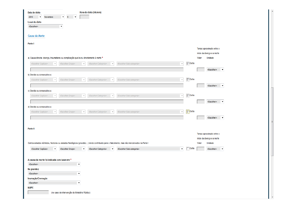| Hora do óbito (hh:mm)<br>Data do óbito                                                                                                                                                                                                                                                                                         |                                                            |                                                                               |
|--------------------------------------------------------------------------------------------------------------------------------------------------------------------------------------------------------------------------------------------------------------------------------------------------------------------------------|------------------------------------------------------------|-------------------------------------------------------------------------------|
| $\overline{9}$<br>2010<br>Novembro<br>$\blacktriangledown$<br>$\blacktriangledown$<br>$\blacktriangledown$                                                                                                                                                                                                                     |                                                            |                                                                               |
| Local do óbito                                                                                                                                                                                                                                                                                                                 |                                                            |                                                                               |
| <escolher><br/><math display="inline">\blacktriangledown</math></escolher>                                                                                                                                                                                                                                                     |                                                            |                                                                               |
|                                                                                                                                                                                                                                                                                                                                |                                                            |                                                                               |
| Causa da Morte                                                                                                                                                                                                                                                                                                                 |                                                            |                                                                               |
| Parte I                                                                                                                                                                                                                                                                                                                        |                                                            |                                                                               |
|                                                                                                                                                                                                                                                                                                                                |                                                            | Tempo aproximado entre o                                                      |
|                                                                                                                                                                                                                                                                                                                                |                                                            | início da doença e a morte                                                    |
| a) Causa directa: doença, traumatismo ou complicação que levou directamente à morte *                                                                                                                                                                                                                                          |                                                            | Valor<br>Unidade                                                              |
| <escolher capítulo=""><br/><escolher grupo=""><br/><escolher categoria=""><br/><escolher sub-categoria=""></escolher></escolher></escolher></escolher>                                                                                                                                                                         | $\overline{\vee}$ Outra<br>$\overline{\mathbf{v}}$         |                                                                               |
|                                                                                                                                                                                                                                                                                                                                |                                                            |                                                                               |
|                                                                                                                                                                                                                                                                                                                                |                                                            | <escolher><br/>▼</escolher>                                                   |
| b) Devida ou consecutiva a:                                                                                                                                                                                                                                                                                                    |                                                            |                                                                               |
| <escolher capítulo=""><br/><escolher sub-categoria=""><br/><escolher grupo=""><br/><escolher categoria=""><br/><math display="inline">\overline{\nabla}</math><br/><math display="inline">\overline{\mathbf{v}}</math><br/><math display="inline">\overline{\mathbf{v}}</math></escolher></escolher></escolher></escolher>     | $\overline{\smash{\vee}}$ Outra<br>$\overline{\mathbf{v}}$ |                                                                               |
|                                                                                                                                                                                                                                                                                                                                |                                                            | <escolher><br/><math display="inline">\blacktriangledown</math></escolher>    |
| c) Devida ou consecutiva a:                                                                                                                                                                                                                                                                                                    |                                                            |                                                                               |
| <escolher capítulo=""><br/><escolher grupo=""><br/><escolher categoria=""><br/><escolher sub-categoria=""><br/><math display="inline">\boldsymbol{\mathrm{v}}</math><br/><math display="inline">\overline{\nabla}</math><br/><math display="inline">\overline{\mathbf{v}}</math></escolher></escolher></escolher></escolher>   | $\overline{\smash{\vee}}$ Outra<br>$\overline{\nabla}$     |                                                                               |
|                                                                                                                                                                                                                                                                                                                                |                                                            | <escolher><br/><math display="inline">\blacktriangledown</math></escolher>    |
| d) Devida ou consecutiva a:                                                                                                                                                                                                                                                                                                    |                                                            |                                                                               |
| <escolher grupo=""><br/><escolher categoria=""><br/><escolher sub-categoria=""><br/><escolher capítulo=""><br/><math display="inline">\overline{\mathbf{v}}</math><br/><math display="inline">\overline{\mathbf{v}}</math><br/><math display="inline">\overline{\mathbf{v}}</math></escolher></escolher></escolher></escolher> | $\nabla$ Outra<br>$\overline{\mathbf{v}}$                  |                                                                               |
|                                                                                                                                                                                                                                                                                                                                |                                                            | <escolher><br/><math display="inline">\overline{\mathbf{v}}</math></escolher> |
|                                                                                                                                                                                                                                                                                                                                |                                                            |                                                                               |
|                                                                                                                                                                                                                                                                                                                                |                                                            |                                                                               |
| Parte II                                                                                                                                                                                                                                                                                                                       |                                                            |                                                                               |
|                                                                                                                                                                                                                                                                                                                                |                                                            | Tempo aproximado entre o                                                      |
|                                                                                                                                                                                                                                                                                                                                |                                                            | início da doença e a morte                                                    |
| Outros estados mórbidos, factores ou estados fisiológicos (gravidez) tendo contribuido para o falecimento, mas não mencionados na Parte I                                                                                                                                                                                      |                                                            | Valor<br>Unidade                                                              |
| <escolher capítulo=""><br/><escolher grupo=""><br/><escolher categoria=""><br/><escolher sub-categoria=""><br/><math display="inline">\blacktriangledown</math><br/><math display="inline">\pmb{\mathrm{v}}</math><br/><math display="inline">\blacktriangledown</math></escolher></escolher></escolher></escolher>            | Outra<br>$\blacktriangledown$                              | <escolher><br/><math display="inline">\blacktriangledown</math></escolher>    |
|                                                                                                                                                                                                                                                                                                                                |                                                            |                                                                               |
| A causa da morte foi indicada com base em *                                                                                                                                                                                                                                                                                    |                                                            |                                                                               |
| <escolher><br/><math display="inline">\blacktriangledown</math></escolher>                                                                                                                                                                                                                                                     |                                                            |                                                                               |
| Na gravidez                                                                                                                                                                                                                                                                                                                    |                                                            |                                                                               |
| <escolher><br/><math display="inline">\blacktriangledown</math></escolher>                                                                                                                                                                                                                                                     |                                                            |                                                                               |
| Inumação/Cremação                                                                                                                                                                                                                                                                                                              |                                                            |                                                                               |
| <escolher><br/><math display="inline">\blacktriangledown</math></escolher>                                                                                                                                                                                                                                                     |                                                            |                                                                               |
| <b>NUIPC</b>                                                                                                                                                                                                                                                                                                                   |                                                            |                                                                               |
| (no caso de intervenção do Ministério Público)                                                                                                                                                                                                                                                                                 |                                                            |                                                                               |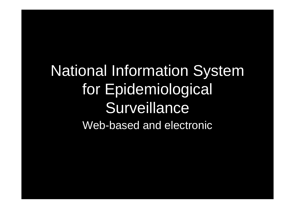National Information System for Epidemiological **Surveillance** Web-based and electronic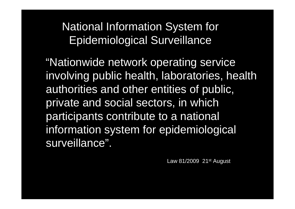National Information System for Epidemiological Surveillance

"Nationwide network operating service involving public health, laboratories, health authorities and other entities of public, private and social sectors, in which participants contribute to a national information system for epidemiological surveillance".

Law 81/2009  $21<sup>st</sup>$  August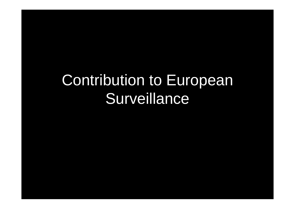# Contribution to European Surveillance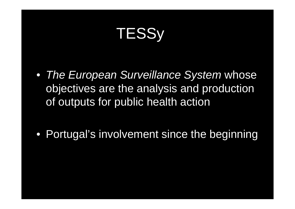# **TESSy**

• *The European Surveillance System* whose objectives are the analysis and production of outputs for public health action

• Portugal's involvement since the beginning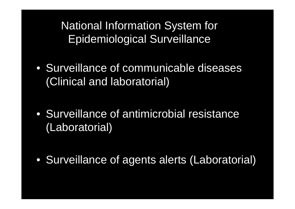National Information System for Epidemiological Surveillance

• Surveillance of communicable diseases (Clinical and laboratorial)

• Surveillance of antimicrobial resistance (Laboratorial)

• Surveillance of agents alerts (Laboratorial)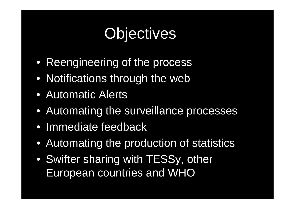# **Objectives**

- Reengineering of the process
- Notifications through the web
- Automatic Alerts
- Automating the surveillance processes
- Immediate feedback
- Automating the production of statistics
- Swifter sharing with TESSy, other European countries and WHO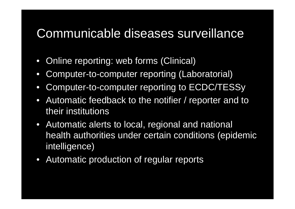#### Communicable diseases surveillance

- $\bullet$ Online reporting: web forms (Clinical)
- $\bullet$ Computer-to-computer reporting (Laboratorial)
- $\bullet$ Computer-to-computer reporting to ECDC/TESSy
- $\bullet$  Automatic feedback to the notifier / reporter and to their institutions
- Automatic alerts to local, regional and national health authorities under certain conditions (epidemic intelligence)
- Automatic production of regular reports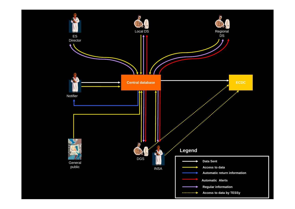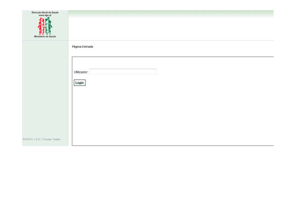| Direc<br>Geral da S |
|---------------------|
| das.<br>nt.         |
|                     |
|                     |
|                     |
|                     |
|                     |
|                     |
|                     |
|                     |

|                               | Página Entrada       |  |  |  |  |  |
|-------------------------------|----------------------|--|--|--|--|--|
|                               | Utilizador:<br>Login |  |  |  |  |  |
|                               |                      |  |  |  |  |  |
|                               |                      |  |  |  |  |  |
| SIVDOT v 0.0.1 Cluster Testes |                      |  |  |  |  |  |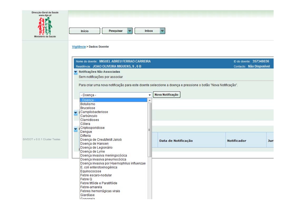| Direcção-Geral da Saude<br>www.dgs.pt |                                                                                                              |       |                     |                          |     |
|---------------------------------------|--------------------------------------------------------------------------------------------------------------|-------|---------------------|--------------------------|-----|
| Ministèrio da Saude                   | Pesquisar<br>Início<br>▼                                                                                     | Inbox |                     |                          |     |
|                                       | Vigilância > Dados Doente                                                                                    |       |                     |                          |     |
|                                       | Nome do doente: MIGUEL ABREU FERRAO CARREIRA                                                                 |       |                     | ID do doente: 357348036  |     |
|                                       | Residência: JOAO OLIVEIRA MIGUENS, 9, 6 B                                                                    |       |                     | Contacto: Não Disponível |     |
|                                       | <b>V</b> Notificações Não Associadas                                                                         |       |                     |                          |     |
|                                       | Sem notificações por associar                                                                                |       |                     |                          |     |
|                                       | Para criar uma nova notificação para este doente seleccione a doença e pressione o botão "Nova Notificação". |       |                     |                          |     |
|                                       | - Doença -                                                                                                   | ۰     | Nova Notificação    |                          |     |
|                                       | - Doença -                                                                                                   |       |                     |                          |     |
|                                       | Botulismo<br>Brucelose                                                                                       |       |                     |                          |     |
|                                       | Campilobacteriose<br>▼                                                                                       |       |                     |                          |     |
|                                       | Carbúnculo<br>Clamidioses                                                                                    |       |                     |                          |     |
|                                       | Cólera                                                                                                       |       |                     |                          |     |
|                                       | Criptosporidiose<br>Dengue                                                                                   |       |                     |                          |     |
|                                       | <b>Difteria</b>                                                                                              |       |                     |                          |     |
| SIVDOT v 0.0.1 Cluster Testes         | Doença de Creutzfeldt Jakob<br>Doença de Hansen                                                              |       | Data de Notificação | <b>Notificador</b>       | Jur |
|                                       | Doença de Legionário                                                                                         |       |                     |                          |     |
|                                       | Doença de Lyme<br>Doença invasiva meningocócica                                                              |       |                     |                          |     |
|                                       | Doença invasiva pneumocócica                                                                                 |       |                     |                          |     |
|                                       | Doença invasiva por Haemophilus influenzae<br>E. coli enterotoxinogénica                                     |       |                     |                          |     |
|                                       | Equinococose                                                                                                 |       |                     |                          |     |
|                                       | Febre escaro-nodular<br>Febre Q                                                                              |       |                     |                          |     |
|                                       | Febre tifóide e Paratifóide                                                                                  |       |                     |                          |     |
|                                       | Febre-amarela                                                                                                |       |                     |                          |     |
|                                       | Febres hemorrágicas virais<br>Giardíase                                                                      |       |                     |                          |     |
|                                       | Conorraia                                                                                                    |       |                     |                          |     |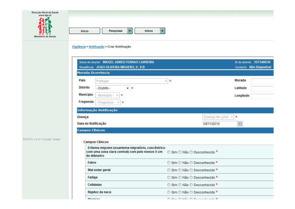| Direcção-Geral da Saude<br>www.dgs.pt |                                                                                                                     |                                                            |                          |
|---------------------------------------|---------------------------------------------------------------------------------------------------------------------|------------------------------------------------------------|--------------------------|
| 33004                                 | Pesquisar<br>Inbox<br>Início                                                                                        |                                                            |                          |
|                                       | Vigilância > Notificação > Criar Notificação                                                                        |                                                            |                          |
|                                       | Nome do doente: MIGUEL ABREU FERRAO CARREIRA                                                                        |                                                            | ID do doente: 357348036  |
|                                       | Residência: JOAO OLIVEIRA MIGUENS, 9, 6 B                                                                           |                                                            | Contacto: Não Disponível |
|                                       | Morada Ocorrência                                                                                                   |                                                            |                          |
|                                       | Pais<br>Portugal                                                                                                    | $-$ *                                                      | Morada                   |
|                                       | <b>Distrito</b><br>- Distrito -<br>$\star$ *                                                                        |                                                            | Latitude                 |
|                                       | <b>Municipio</b><br>- Município -<br>$\ast$                                                                         |                                                            | Longitude                |
|                                       | Freguesia<br>- Freguesia -<br>≭                                                                                     |                                                            |                          |
|                                       | Informação Notificação                                                                                              |                                                            |                          |
|                                       | Doença                                                                                                              | Doença de Lyme<br>$\overline{\nabla}$                      | $\ast$                   |
|                                       | Data de Notificação                                                                                                 | 09/11/2010                                                 | 團                        |
|                                       | <b>Campos Clínicos</b>                                                                                              |                                                            |                          |
| SIVDOT v 0.0.1 Cluster Testes         | <b>Campos Clínicos</b>                                                                                              |                                                            |                          |
|                                       | Eritema migrans (exantema migratório, concêntrico<br>com uma zona clara central) com pelo menos 5 cm<br>de diâmetro | Sim C Não C Desconhecido *                                 |                          |
|                                       | Febre                                                                                                               | Sim O Não O Desconhecido *                                 |                          |
|                                       | Mal-estar geral                                                                                                     | Sim © Não © Desconhecido *                                 |                          |
|                                       | Fadiga                                                                                                              | Sim O Não O Desconhecido *                                 |                          |
|                                       | Cefaleias                                                                                                           | Sim O Não O Desconhecido *                                 |                          |
|                                       | Rigidez da nuca                                                                                                     | Sim O Não O Desconhecido *                                 |                          |
|                                       | Minlaine                                                                                                            | $@$ $Q_{\text{in}} @$ $MZ_{\text{in}} @$ $Q_{\text{in}} @$ |                          |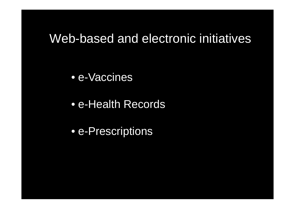#### Web-based and electronic initiatives

• e-Vaccines

• e-Health Records

• e-Prescriptions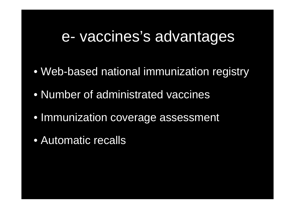#### e- vaccines's advantages

- Web-based national immunization registry
- Number of administrated vaccines
- Immunization coverage assessment
- Automatic recalls